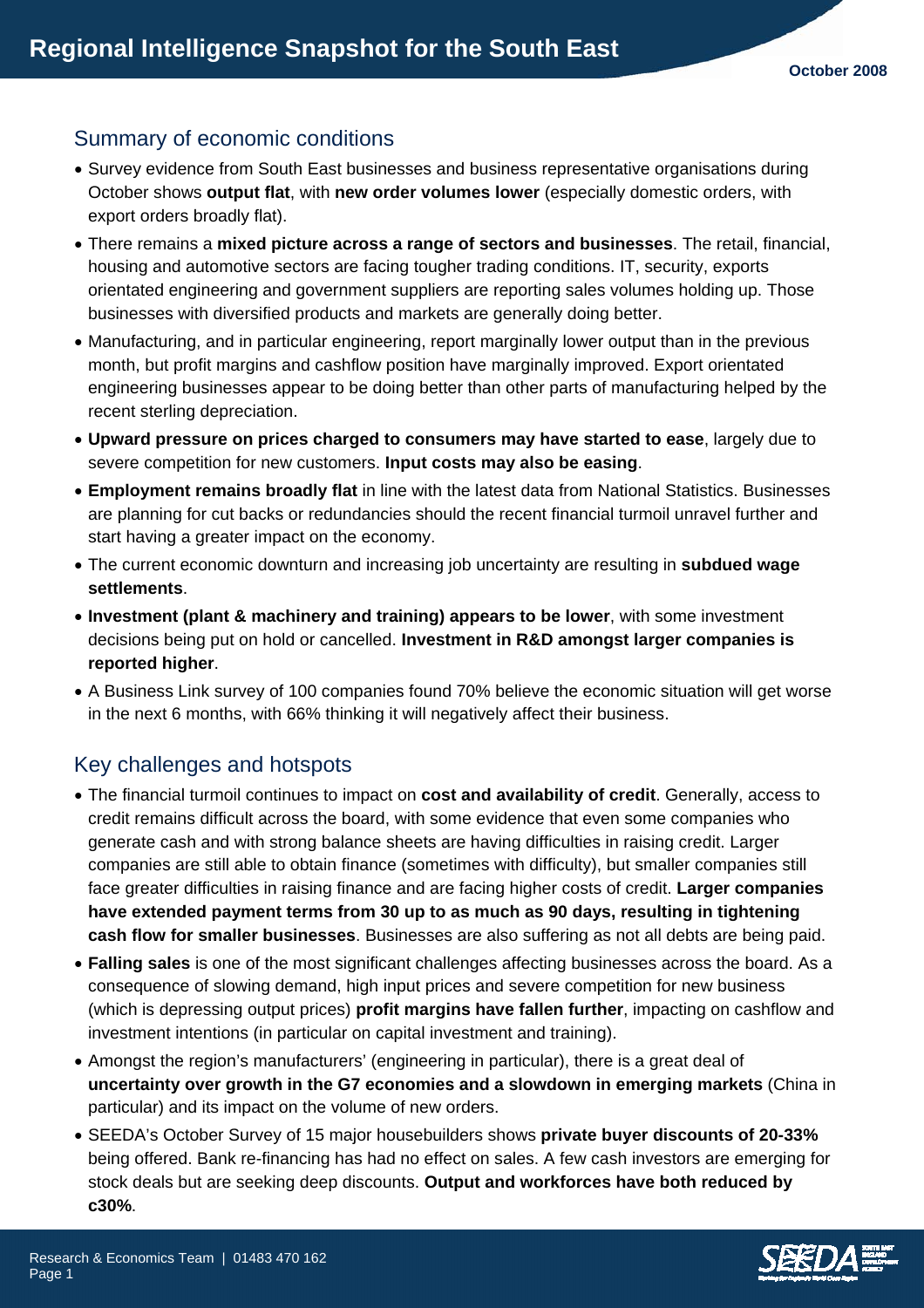## Summary of economic conditions

- Survey evidence from South East businesses and business representative organisations during October shows **output flat**, with **new order volumes lower** (especially domestic orders, with export orders broadly flat).
- There remains a **mixed picture across a range of sectors and businesses**. The retail, financial, housing and automotive sectors are facing tougher trading conditions. IT, security, exports orientated engineering and government suppliers are reporting sales volumes holding up. Those businesses with diversified products and markets are generally doing better.
- Manufacturing, and in particular engineering, report marginally lower output than in the previous month, but profit margins and cashflow position have marginally improved. Export orientated engineering businesses appear to be doing better than other parts of manufacturing helped by the recent sterling depreciation.
- **Upward pressure on prices charged to consumers may have started to ease**, largely due to severe competition for new customers. **Input costs may also be easing**.
- **Employment remains broadly flat** in line with the latest data from National Statistics. Businesses are planning for cut backs or redundancies should the recent financial turmoil unravel further and start having a greater impact on the economy.
- The current economic downturn and increasing job uncertainty are resulting in **subdued wage settlements**.
- **Investment (plant & machinery and training) appears to be lower**, with some investment decisions being put on hold or cancelled. **Investment in R&D amongst larger companies is reported higher**.
- A Business Link survey of 100 companies found 70% believe the economic situation will get worse in the next 6 months, with 66% thinking it will negatively affect their business.

## Key challenges and hotspots

- The financial turmoil continues to impact on **cost and availability of credit**. Generally, access to credit remains difficult across the board, with some evidence that even some companies who generate cash and with strong balance sheets are having difficulties in raising credit. Larger companies are still able to obtain finance (sometimes with difficulty), but smaller companies still face greater difficulties in raising finance and are facing higher costs of credit. **Larger companies have extended payment terms from 30 up to as much as 90 days, resulting in tightening cash flow for smaller businesses**. Businesses are also suffering as not all debts are being paid.
- **Falling sales** is one of the most significant challenges affecting businesses across the board. As a consequence of slowing demand, high input prices and severe competition for new business (which is depressing output prices) **profit margins have fallen further**, impacting on cashflow and investment intentions (in particular on capital investment and training).
- Amongst the region's manufacturers' (engineering in particular), there is a great deal of **uncertainty over growth in the G7 economies and a slowdown in emerging markets** (China in particular) and its impact on the volume of new orders.
- SEEDA's October Survey of 15 major housebuilders shows **private buyer discounts of 20-33%** being offered. Bank re-financing has had no effect on sales. A few cash investors are emerging for stock deals but are seeking deep discounts. **Output and workforces have both reduced by c30%**.